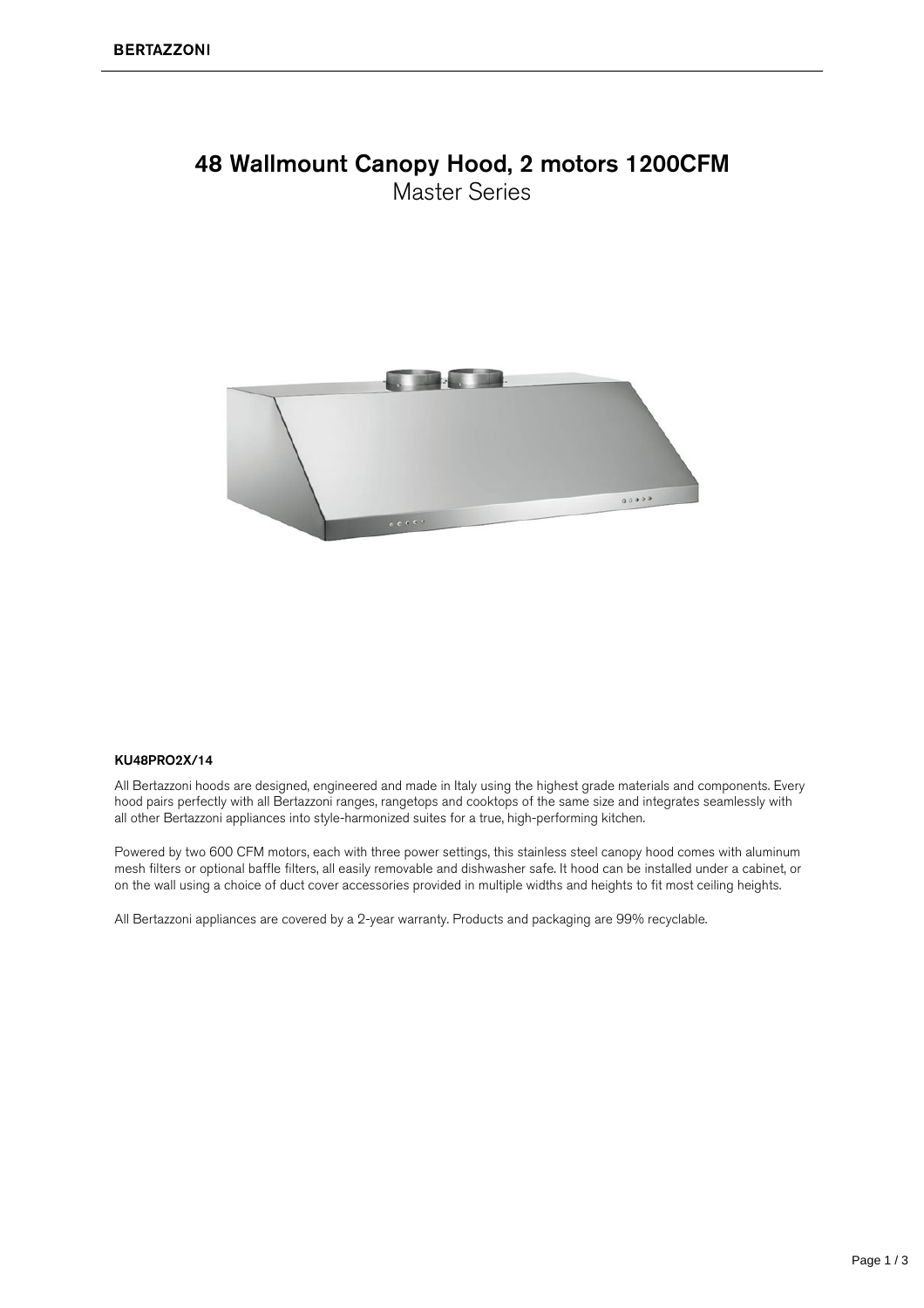#### 48 Wallmount Canopy Hood, 2 motors 1200CFM **Master Series**



#### KU48PRO2X/14

All Bertazzoni hoods are designed, engineered and made in Italy using the highest grade materials and components. Every hood pairs perfectly with all Bertazzoni ranges, rangetops and cooktops of the same size and integrates seamlessly with all other Bertazzoni appliances into style-harmonized suites for a true, high-performing kitchen.

Powered by two 600 CFM motors, each with three power settings, this stainless steel canopy hood comes with aluminum mesh filters or optional baffle filters, all easily removable and dishwasher safe. It hood can be installed under a cabinet, or on the wall using a choice of duct cover accessories provided in multiple widths and heights to fit most ceiling heights.

All Bertazzoni appliances are covered by a 2-year warranty. Products and packaging are 99% recyclable.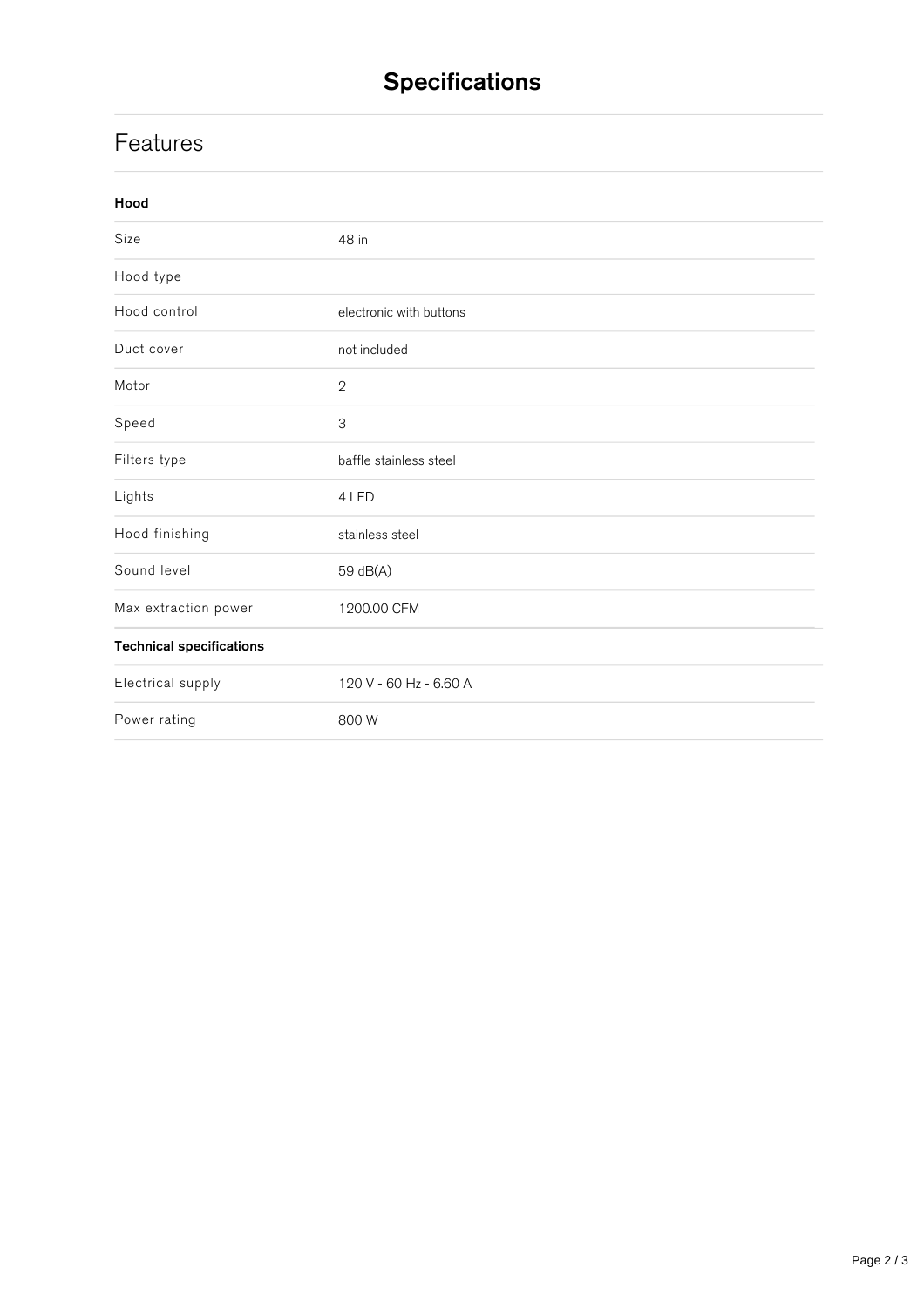# **Specifications**

### **Features**

| Hood                            |                           |
|---------------------------------|---------------------------|
| Size                            | 48 in                     |
| Hood type                       |                           |
| Hood control                    | electronic with buttons   |
| Duct cover                      | not included              |
| Motor                           | $\mathbf{2}$              |
| Speed                           | $\ensuremath{\mathsf{3}}$ |
| Filters type                    | baffle stainless steel    |
| Lights                          | 4 LED                     |
| Hood finishing                  | stainless steel           |
| Sound level                     | 59 dB(A)                  |
| Max extraction power            | 1200.00 CFM               |
| <b>Technical specifications</b> |                           |
| Electrical supply               | 120 V - 60 Hz - 6.60 A    |
| Power rating                    | 800 W                     |